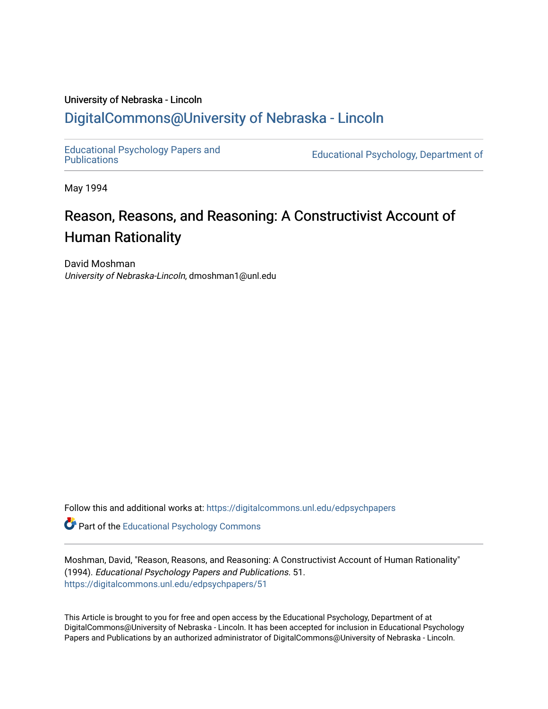## University of Nebraska - Lincoln [DigitalCommons@University of Nebraska - Lincoln](https://digitalcommons.unl.edu/)

[Educational Psychology Papers and](https://digitalcommons.unl.edu/edpsychpapers)

Educational Psychology, Department of

May 1994

# Reason, Reasons, and Reasoning: A Constructivist Account of Human Rationality

David Moshman University of Nebraska-Lincoln, dmoshman1@unl.edu

Follow this and additional works at: [https://digitalcommons.unl.edu/edpsychpapers](https://digitalcommons.unl.edu/edpsychpapers?utm_source=digitalcommons.unl.edu%2Fedpsychpapers%2F51&utm_medium=PDF&utm_campaign=PDFCoverPages)

**Part of the Educational Psychology Commons** 

Moshman, David, "Reason, Reasons, and Reasoning: A Constructivist Account of Human Rationality" (1994). Educational Psychology Papers and Publications. 51. [https://digitalcommons.unl.edu/edpsychpapers/51](https://digitalcommons.unl.edu/edpsychpapers/51?utm_source=digitalcommons.unl.edu%2Fedpsychpapers%2F51&utm_medium=PDF&utm_campaign=PDFCoverPages) 

This Article is brought to you for free and open access by the Educational Psychology, Department of at DigitalCommons@University of Nebraska - Lincoln. It has been accepted for inclusion in Educational Psychology Papers and Publications by an authorized administrator of DigitalCommons@University of Nebraska - Lincoln.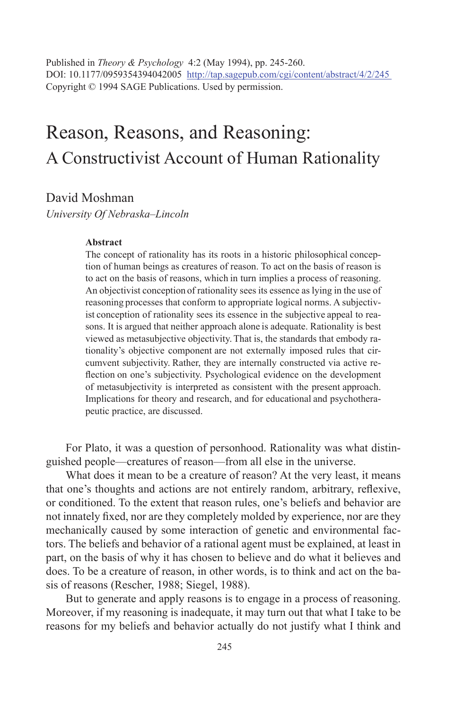Published in *Theory & Psychology* 4:2 (May 1994), pp. 245-260. DOI: 10.1177/0959354394042005 http://tap.sagepub.com/cgi/content/abstract/4/2/245 Copyright © 1994 SAGE Publications. Used by permission.

## Reason, Reasons, and Reasoning: A Constructivist Account of Human Rationality

David Moshman

*University Of Nebraska–Lincoln* 

#### **Abstract**

The concept of rationality has its roots in a historic philosophical conception of human beings as creatures of reason. To act on the basis of reason is to act on the basis of reasons, which in turn implies a process of reasoning. An objectivist conception of rationality sees its essence as lying in the use of reasoning processes that conform to appropriate logical norms. A subjectivist conception of rationality sees its essence in the subjective appeal to reasons. It is argued that neither approach alone is adequate. Rationality is best viewed as metasubjective objectivity.That is, the standards that embody rationality's objective component are not externally imposed rules that circumvent subjectivity. Rather, they are internally constructed via active reflection on one's subjectivity. Psychological evidence on the development of metasubjectivity is interpreted as consistent with the present approach. Implications for theory and research, and for educational and psychotherapeutic practice, are discussed.

For Plato, it was a question of personhood. Rationality was what distinguished people—creatures of reason—from all else in the universe.

What does it mean to be a creature of reason? At the very least, it means that one's thoughts and actions are not entirely random, arbitrary, reflexive, or conditioned. To the extent that reason rules, one's beliefs and behavior are not innately fixed, nor are they completely molded by experience, nor are they mechanically caused by some interaction of genetic and environmental factors. The beliefs and behavior of a rational agent must be explained, at least in part, on the basis of why it has chosen to believe and do what it believes and does. To be a creature of reason, in other words, is to think and act on the basis of reasons (Rescher, 1988; Siegel, 1988).

But to generate and apply reasons is to engage in a process of reasoning. Moreover, if my reasoning is inadequate, it may turn out that what I take to be reasons for my beliefs and behavior actually do not justify what I think and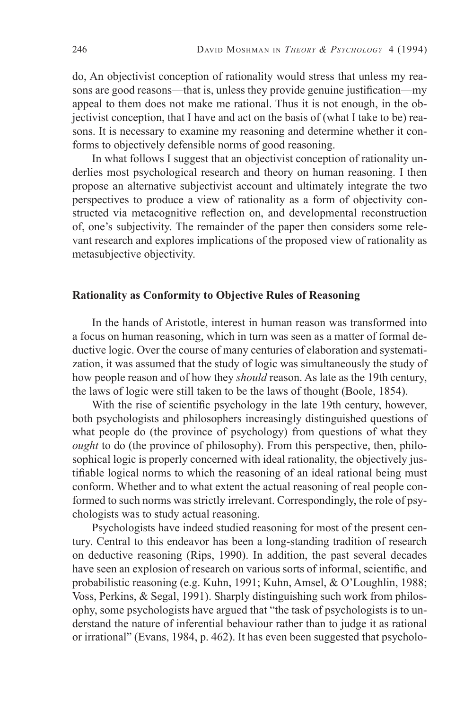do, An objectivist conception of rationality would stress that unless my reasons are good reasons—that is, unless they provide genuine justification—my appeal to them does not make me rational. Thus it is not enough, in the objectivist conception, that I have and act on the basis of (what I take to be) reasons. It is necessary to examine my reasoning and determine whether it conforms to objectively defensible norms of good reasoning.

In what follows I suggest that an objectivist conception of rationality underlies most psychological research and theory on human reasoning. I then propose an alternative subjectivist account and ultimately integrate the two perspectives to produce a view of rationality as a form of objectivity constructed via metacognitive reflection on, and developmental reconstruction of, one's subjectivity. The remainder of the paper then considers some relevant research and explores implications of the proposed view of rationality as metasubjective objectivity.

## **Rationality as Conformity to Objective Rules of Reasoning**

In the hands of Aristotle, interest in human reason was transformed into a focus on human reasoning, which in turn was seen as a matter of formal deductive logic. Over the course of many centuries of elaboration and systematization, it was assumed that the study of logic was simultaneously the study of how people reason and of how they *should* reason. As late as the 19th century, the laws of logic were still taken to be the laws of thought (Boole, 1854).

With the rise of scientific psychology in the late 19th century, however, both psychologists and philosophers increasingly distinguished questions of what people do (the province of psychology) from questions of what they *ought* to do (the province of philosophy). From this perspective, then, philosophical logic is properly concerned with ideal rationality, the objectively justifiable logical norms to which the reasoning of an ideal rational being must conform. Whether and to what extent the actual reasoning of real people conformed to such norms was strictly irrelevant. Correspondingly, the role of psychologists was to study actual reasoning.

Psychologists have indeed studied reasoning for most of the present century. Central to this endeavor has been a long-standing tradition of research on deductive reasoning (Rips, 1990). In addition, the past several decades have seen an explosion of research on various sorts of informal, scientific, and probabilistic reasoning (e.g. Kuhn, 1991; Kuhn, Amsel, & O'Loughlin, 1988; Voss, Perkins, & Segal, 1991). Sharply distinguishing such work from philosophy, some psychologists have argued that "the task of psychologists is to understand the nature of inferential behaviour rather than to judge it as rational or irrational" (Evans, 1984, p. 462). It has even been suggested that psycholo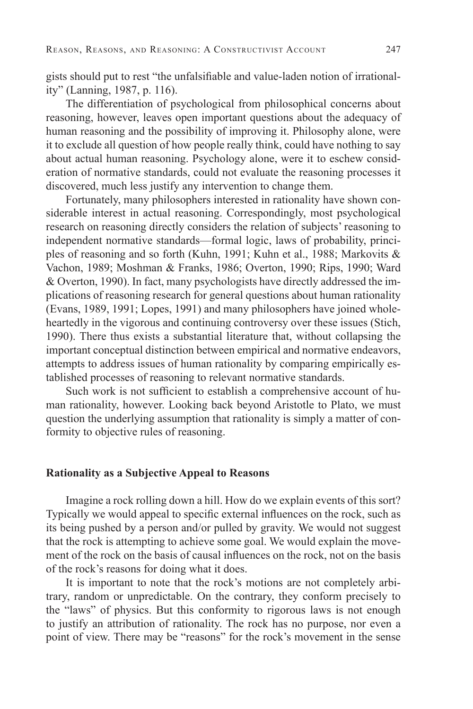gists should put to rest "the unfalsifiable and value-laden notion of irrationality" (Lanning, 1987, p. 116).

The differentiation of psychological from philosophical concerns about reasoning, however, leaves open important questions about the adequacy of human reasoning and the possibility of improving it. Philosophy alone, were it to exclude all question of how people really think, could have nothing to say about actual human reasoning. Psychology alone, were it to eschew consideration of normative standards, could not evaluate the reasoning processes it discovered, much less justify any intervention to change them.

Fortunately, many philosophers interested in rationality have shown considerable interest in actual reasoning. Correspondingly, most psychological research on reasoning directly considers the relation of subjects' reasoning to independent normative standards—formal logic, laws of probability, principles of reasoning and so forth (Kuhn, 1991; Kuhn et al., 1988; Markovits & Vachon, 1989; Moshman & Franks, 1986; Overton, 1990; Rips, 1990; Ward & Overton, 1990). In fact, many psychologists have directly addressed the implications of reasoning research for general questions about human rationality (Evans, 1989, 1991; Lopes, 1991) and many philosophers have joined wholeheartedly in the vigorous and continuing controversy over these issues (Stich, 1990). There thus exists a substantial literature that, without collapsing the important conceptual distinction between empirical and normative endeavors, attempts to address issues of human rationality by comparing empirically established processes of reasoning to relevant normative standards.

Such work is not sufficient to establish a comprehensive account of human rationality, however. Looking back beyond Aristotle to Plato, we must question the underlying assumption that rationality is simply a matter of conformity to objective rules of reasoning.

## **Rationality as a Subjective Appeal to Reasons**

Imagine a rock rolling down a hill. How do we explain events of this sort? Typically we would appeal to specific external influences on the rock, such as its being pushed by a person and/or pulled by gravity. We would not suggest that the rock is attempting to achieve some goal. We would explain the movement of the rock on the basis of causal influences on the rock, not on the basis of the rock's reasons for doing what it does.

It is important to note that the rock's motions are not completely arbitrary, random or unpredictable. On the contrary, they conform precisely to the "laws" of physics. But this conformity to rigorous laws is not enough to justify an attribution of rationality. The rock has no purpose, nor even a point of view. There may be "reasons" for the rock's movement in the sense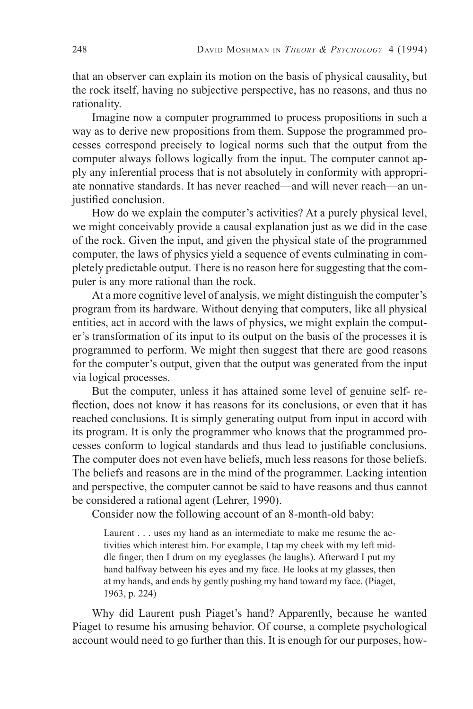that an observer can explain its motion on the basis of physical causality, but the rock itself, having no subjective perspective, has no reasons, and thus no rationality.

Imagine now a computer programmed to process propositions in such a way as to derive new propositions from them. Suppose the programmed processes correspond precisely to logical norms such that the output from the computer always follows logically from the input. The computer cannot apply any inferential process that is not absolutely in conformity with appropriate nonnative standards. It has never reached—and will never reach—an unjustified conclusion.

How do we explain the computer's activities? At a purely physical level, we might conceivably provide a causal explanation just as we did in the case of the rock. Given the input, and given the physical state of the programmed computer, the laws of physics yield a sequence of events culminating in completely predictable output. There is no reason here for suggesting that the computer is any more rational than the rock.

At a more cognitive level of analysis, we might distinguish the computer's program from its hardware. Without denying that computers, like all physical entities, act in accord with the laws of physics, we might explain the computer's transformation of its input to its output on the basis of the processes it is programmed to perform. We might then suggest that there are good reasons for the computer's output, given that the output was generated from the input via logical processes.

But the computer, unless it has attained some level of genuine self- reflection, does not know it has reasons for its conclusions, or even that it has reached conclusions. It is simply generating output from input in accord with its program. It is only the programmer who knows that the programmed processes conform to logical standards and thus lead to justifiable conclusions. The computer does not even have beliefs, much less reasons for those beliefs. The beliefs and reasons are in the mind of the programmer. Lacking intention and perspective, the computer cannot be said to have reasons and thus cannot be considered a rational agent (Lehrer, 1990).

Consider now the following account of an 8-month-old baby:

Laurent . . . uses my hand as an intermediate to make me resume the activities which interest him. For example, I tap my cheek with my left middle finger, then I drum on my eyeglasses (he laughs). Afterward I put my hand halfway between his eyes and my face. He looks at my glasses, then at my hands, and ends by gently pushing my hand toward my face. (Piaget, 1963, p. 224)

Why did Laurent push Piaget's hand? Apparently, because he wanted Piaget to resume his amusing behavior. Of course, a complete psychological account would need to go further than this. It is enough for our purposes, how-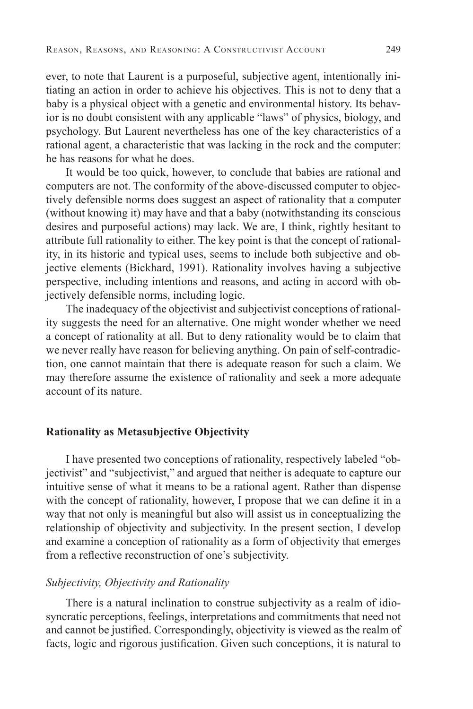ever, to note that Laurent is a purposeful, subjective agent, intentionally initiating an action in order to achieve his objectives. This is not to deny that a baby is a physical object with a genetic and environmental history. Its behavior is no doubt consistent with any applicable "laws" of physics, biology, and psychology. But Laurent nevertheless has one of the key characteristics of a rational agent, a characteristic that was lacking in the rock and the computer: he has reasons for what he does.

It would be too quick, however, to conclude that babies are rational and computers are not. The conformity of the above-discussed computer to objectively defensible norms does suggest an aspect of rationality that a computer (without knowing it) may have and that a baby (notwithstanding its conscious desires and purposeful actions) may lack. We are, I think, rightly hesitant to attribute full rationality to either. The key point is that the concept of rationality, in its historic and typical uses, seems to include both subjective and objective elements (Bickhard, 1991). Rationality involves having a subjective perspective, including intentions and reasons, and acting in accord with objectively defensible norms, including logic.

The inadequacy of the objectivist and subjectivist conceptions of rationality suggests the need for an alternative. One might wonder whether we need a concept of rationality at all. But to deny rationality would be to claim that we never really have reason for believing anything. On pain of self-contradiction, one cannot maintain that there is adequate reason for such a claim. We may therefore assume the existence of rationality and seek a more adequate account of its nature.

## **Rationality as Metasubjective Objectivity**

I have presented two conceptions of rationality, respectively labeled "objectivist" and "subjectivist," and argued that neither is adequate to capture our intuitive sense of what it means to be a rational agent. Rather than dispense with the concept of rationality, however, I propose that we can define it in a way that not only is meaningful but also will assist us in conceptualizing the relationship of objectivity and subjectivity. In the present section, I develop and examine a conception of rationality as a form of objectivity that emerges from a reflective reconstruction of one's subjectivity.

### *Subjectivity, Objectivity and Rationality*

There is a natural inclination to construe subjectivity as a realm of idiosyncratic perceptions, feelings, interpretations and commitments that need not and cannot be justified. Correspondingly, objectivity is viewed as the realm of facts, logic and rigorous justification. Given such conceptions, it is natural to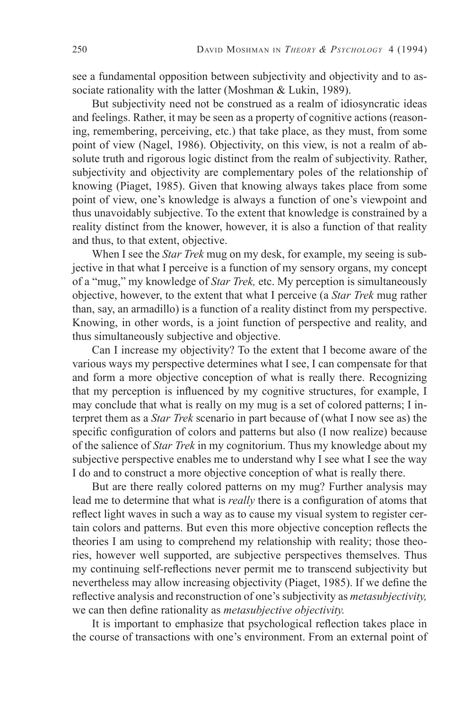see a fundamental opposition between subjectivity and objectivity and to associate rationality with the latter (Moshman & Lukin, 1989).

But subjectivity need not be construed as a realm of idiosyncratic ideas and feelings. Rather, it may be seen as a property of cognitive actions (reasoning, remembering, perceiving, etc.) that take place, as they must, from some point of view (Nagel, 1986). Objectivity, on this view, is not a realm of absolute truth and rigorous logic distinct from the realm of subjectivity. Rather, subjectivity and objectivity are complementary poles of the relationship of knowing (Piaget, 1985). Given that knowing always takes place from some point of view, one's knowledge is always a function of one's viewpoint and thus unavoidably subjective. To the extent that knowledge is constrained by a reality distinct from the knower, however, it is also a function of that reality and thus, to that extent, objective.

When I see the *Star Trek* mug on my desk, for example, my seeing is subjective in that what I perceive is a function of my sensory organs, my concept of a "mug," my knowledge of *Star Trek,* etc. My perception is simultaneously objective, however, to the extent that what I perceive (a *Star Trek* mug rather than, say, an armadillo) is a function of a reality distinct from my perspective. Knowing, in other words, is a joint function of perspective and reality, and thus simultaneously subjective and objective.

Can I increase my objectivity? To the extent that I become aware of the various ways my perspective determines what I see, I can compensate for that and form a more objective conception of what is really there. Recognizing that my perception is influenced by my cognitive structures, for example, I may conclude that what is really on my mug is a set of colored patterns; I interpret them as a *Star Trek* scenario in part because of (what I now see as) the specific configuration of colors and patterns but also (I now realize) because of the salience of *Star Trek* in my cognitorium. Thus my knowledge about my subjective perspective enables me to understand why I see what I see the way I do and to construct a more objective conception of what is really there.

But are there really colored patterns on my mug? Further analysis may lead me to determine that what is *really* there is a configuration of atoms that reflect light waves in such a way as to cause my visual system to register certain colors and patterns. But even this more objective conception reflects the theories I am using to comprehend my relationship with reality; those theories, however well supported, are subjective perspectives themselves. Thus my continuing self-reflections never permit me to transcend subjectivity but nevertheless may allow increasing objectivity (Piaget, 1985). If we define the reflective analysis and reconstruction of one's subjectivity as *metasubjectivity*, we can then define rationality as *metasubjective objectivity*.

It is important to emphasize that psychological reflection takes place in the course of transactions with one's environment. From an external point of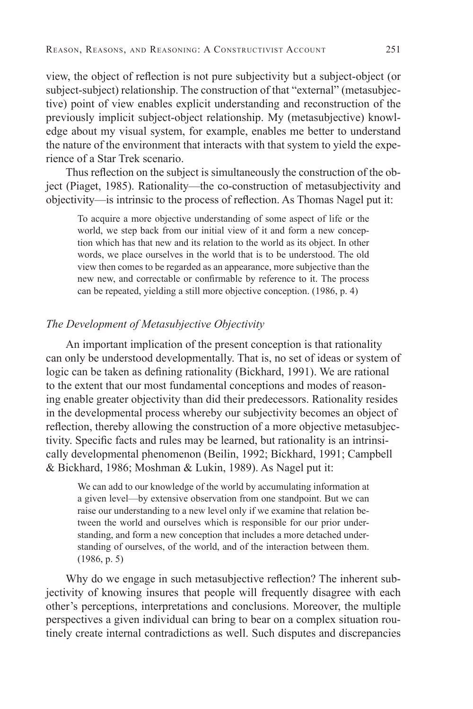view, the object of reflection is not pure subjectivity but a subject-object (or subject-subject) relationship. The construction of that "external" (metasubjective) point of view enables explicit understanding and reconstruction of the previously implicit subject-object relationship. My (metasubjective) knowledge about my visual system, for example, enables me better to understand the nature of the environment that interacts with that system to yield the experience of a Star Trek scenario.

Thus reflection on the subject is simultaneously the construction of the object (Piaget, 1985). Rationality—the co-construction of metasubjectivity and objectivity—is intrinsic to the process of reflection. As Thomas Nagel put it:

To acquire a more objective understanding of some aspect of life or the world, we step back from our initial view of it and form a new conception which has that new and its relation to the world as its object. In other words, we place ourselves in the world that is to be understood. The old view then comes to be regarded as an appearance, more subjective than the new new, and correctable or confirmable by reference to it. The process can be repeated, yielding a still more objective conception. (1986, p. 4)

### *The Development of Metasubjective Objectivity*

An important implication of the present conception is that rationality can only be understood developmentally. That is, no set of ideas or system of logic can be taken as defining rationality (Bickhard, 1991). We are rational to the extent that our most fundamental conceptions and modes of reasoning enable greater objectivity than did their predecessors. Rationality resides in the developmental process whereby our subjectivity becomes an object of reflection, thereby allowing the construction of a more objective metasubjectivity. Specific facts and rules may be learned, but rationality is an intrinsically developmental phenomenon (Beilin, 1992; Bickhard, 1991; Campbell & Bickhard, 1986; Moshman & Lukin, 1989). As Nagel put it:

We can add to our knowledge of the world by accumulating information at a given level—by extensive observation from one standpoint. But we can raise our understanding to a new level only if we examine that relation between the world and ourselves which is responsible for our prior understanding, and form a new conception that includes a more detached understanding of ourselves, of the world, and of the interaction between them. (1986, p. 5)

Why do we engage in such metasubjective reflection? The inherent subjectivity of knowing insures that people will frequently disagree with each other's perceptions, interpretations and conclusions. Moreover, the multiple perspectives a given individual can bring to bear on a complex situation routinely create internal contradictions as well. Such disputes and discrepancies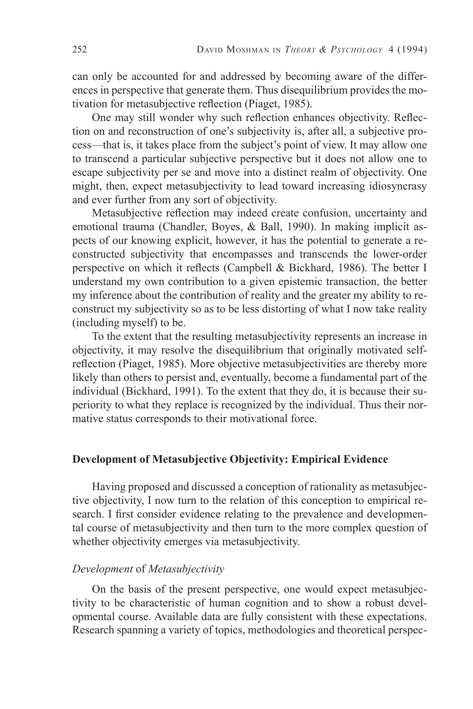can only be accounted for and addressed by becoming aware of the differences in perspective that generate them. Thus disequilibrium provides the motivation for metasubjective reflection (Piaget, 1985).

One may still wonder why such reflection enhances objectivity. Reflection on and reconstruction of one's subjectivity is, after all, a subjective process—that is, it takes place from the subject's point of view. It may allow one to transcend a particular subjective perspective but it does not allow one to escape subjectivity per se and move into a distinct realm of objectivity. One might, then, expect metasubjectivity to lead toward increasing idiosyncrasy and ever further from any sort of objectivity.

Metasubjective reflection may indeed create confusion, uncertainty and emotional trauma (Chandler, Boyes, & Ball, 1990). In making implicit aspects of our knowing explicit, however, it has the potential to generate a reconstructed subjectivity that encompasses and transcends the lower-order perspective on which it reflects (Campbell & Bickhard, 1986). The better I understand my own contribution to a given epistemic transaction, the better my inference about the contribution of reality and the greater my ability to reconstruct my subjectivity so as to be less distorting of what I now take reality (including myself) to be.

To the extent that the resulting metasubjectivity represents an increase in objectivity, it may resolve the disequilibrium that originally motivated selfreflection (Piaget, 1985). More objective metasubjectivities are thereby more likely than others to persist and, eventually, become a fundamental part of the individual (Bickhard, 1991). To the extent that they do, it is because their superiority to what they replace is recognized by the individual. Thus their normative status corresponds to their motivational force.

## **Development of Metasubjective Objectivity: Empirical Evidence**

Having proposed and discussed a conception of rationality as metasubjective objectivity, I now turn to the relation of this conception to empirical research. I first consider evidence relating to the prevalence and developmental course of metasubjectivity and then turn to the more complex question of whether objectivity emerges via metasubjectivity.

## *Development* of *Metasubjectivity*

On the basis of the present perspective, one would expect metasubjectivity to be characteristic of human cognition and to show a robust developmental course. Available data are fully consistent with these expectations. Research spanning a variety of topics, methodologies and theoretical perspec-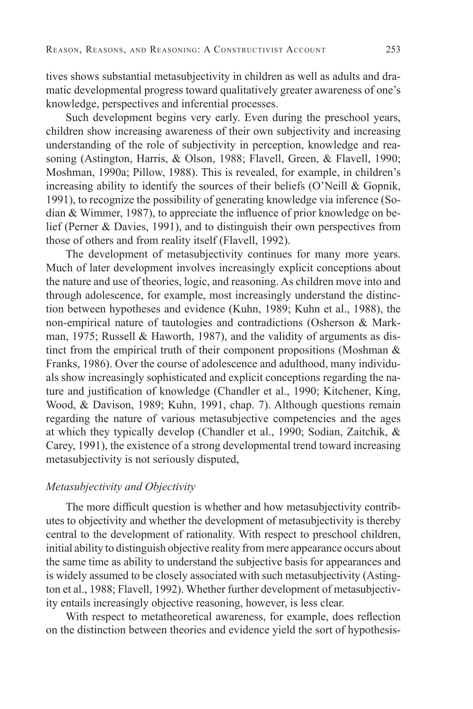tives shows substantial metasubjectivity in children as well as adults and dramatic developmental progress toward qualitatively greater awareness of one's knowledge, perspectives and inferential processes.

Such development begins very early. Even during the preschool years, children show increasing awareness of their own subjectivity and increasing understanding of the role of subjectivity in perception, knowledge and reasoning (Astington, Harris, & Olson, 1988; Flavell, Green, & Flavell, 1990; Moshman, 1990a; Pillow, 1988). This is revealed, for example, in children's increasing ability to identify the sources of their beliefs (O'Neill & Gopnik, 1991), to recognize the possibility of generating knowledge via inference (Sodian  $&$  Wimmer, 1987), to appreciate the influence of prior knowledge on belief (Perner & Davies, 1991), and to distinguish their own perspectives from those of others and from reality itself (Flavell, 1992).

The development of metasubjectivity continues for many more years. Much of later development involves increasingly explicit conceptions about the nature and use of theories, logic, and reasoning. As children move into and through adolescence, for example, most increasingly understand the distinction between hypotheses and evidence (Kuhn, 1989; Kuhn et al., 1988), the non-empirical nature of tautologies and contradictions (Osherson & Markman, 1975; Russell & Haworth, 1987), and the validity of arguments as distinct from the empirical truth of their component propositions (Moshman & Franks, 1986). Over the course of adolescence and adulthood, many individuals show increasingly sophisticated and explicit conceptions regarding the nature and justification of knowledge (Chandler et al., 1990; Kitchener, King, Wood, & Davison, 1989; Kuhn, 1991, chap. 7). Although questions remain regarding the nature of various metasubjective competencies and the ages at which they typically develop (Chandler et al., 1990; Sodian, Zaitchik, & Carey, 1991), the existence of a strong developmental trend toward increasing metasubjectivity is not seriously disputed,

#### *Metasubjectivity and Objectivity*

The more difficult question is whether and how metasubjectivity contributes to objectivity and whether the development of metasubjectivity is thereby central to the development of rationality. With respect to preschool children, initial ability to distinguish objective reality from mere appearance occurs about the same time as ability to understand the subjective basis for appearances and is widely assumed to be closely associated with such metasubjectivity (Astington et al., 1988; Flavell, 1992). Whether further development of metasubjectivity entails increasingly objective reasoning, however, is less clear.

With respect to metatheoretical awareness, for example, does reflection on the distinction between theories and evidence yield the sort of hypothesis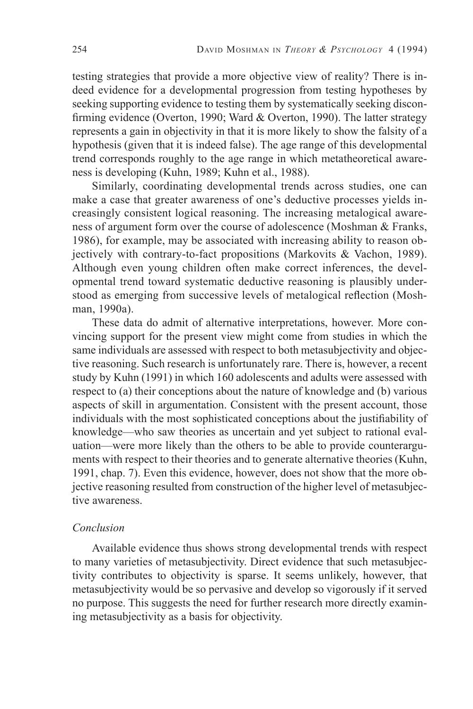testing strategies that provide a more objective view of reality? There is indeed evidence for a developmental progression from testing hypotheses by seeking supporting evidence to testing them by systematically seeking disconfirming evidence (Overton, 1990; Ward  $&$  Overton, 1990). The latter strategy represents a gain in objectivity in that it is more likely to show the falsity of a hypothesis (given that it is indeed false). The age range of this developmental trend corresponds roughly to the age range in which metatheoretical awareness is developing (Kuhn, 1989; Kuhn et al., 1988).

Similarly, coordinating developmental trends across studies, one can make a case that greater awareness of one's deductive processes yields increasingly consistent logical reasoning. The increasing metalogical awareness of argument form over the course of adolescence (Moshman & Franks, 1986), for example, may be associated with increasing ability to reason objectively with contrary-to-fact propositions (Markovits & Vachon, 1989). Although even young children often make correct inferences, the developmental trend toward systematic deductive reasoning is plausibly understood as emerging from successive levels of metalogical reflection (Moshman, 1990a).

These data do admit of alternative interpretations, however. More convincing support for the present view might come from studies in which the same individuals are assessed with respect to both metasubjectivity and objective reasoning. Such research is unfortunately rare. There is, however, a recent study by Kuhn (1991) in which 160 adolescents and adults were assessed with respect to (a) their conceptions about the nature of knowledge and (b) various aspects of skill in argumentation. Consistent with the present account, those individuals with the most sophisticated conceptions about the justifiability of knowledge—who saw theories as uncertain and yet subject to rational evaluation—were more likely than the others to be able to provide counterarguments with respect to their theories and to generate alternative theories (Kuhn, 1991, chap. 7). Even this evidence, however, does not show that the more objective reasoning resulted from construction of the higher level of metasubjective awareness.

### *Conclusion*

Available evidence thus shows strong developmental trends with respect to many varieties of metasubjectivity. Direct evidence that such metasubjectivity contributes to objectivity is sparse. It seems unlikely, however, that metasubjectivity would be so pervasive and develop so vigorously if it served no purpose. This suggests the need for further research more directly examining metasubjectivity as a basis for objectivity.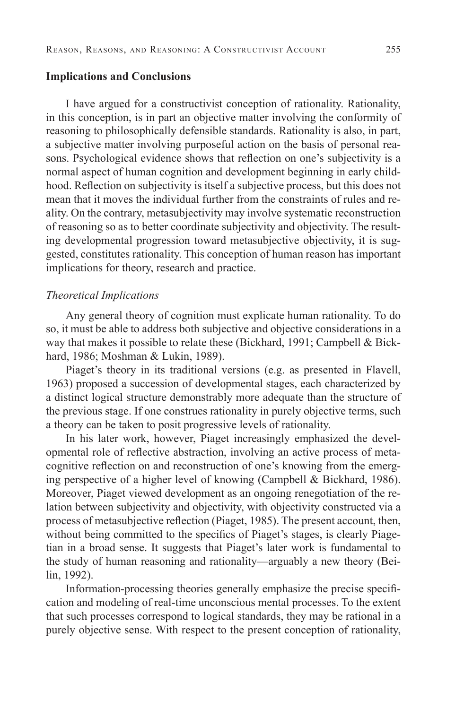#### **Implications and Conclusions**

I have argued for a constructivist conception of rationality. Rationality, in this conception, is in part an objective matter involving the conformity of reasoning to philosophically defensible standards. Rationality is also, in part, a subjective matter involving purposeful action on the basis of personal reasons. Psychological evidence shows that reflection on one's subjectivity is a normal aspect of human cognition and development beginning in early childhood. Reflection on subjectivity is itself a subjective process, but this does not mean that it moves the individual further from the constraints of rules and reality. On the contrary, metasubjectivity may involve systematic reconstruction of reasoning so as to better coordinate subjectivity and objectivity. The resulting developmental progression toward metasubjective objectivity, it is suggested, constitutes rationality. This conception of human reason has important implications for theory, research and practice.

#### *Theoretical Implications*

Any general theory of cognition must explicate human rationality. To do so, it must be able to address both subjective and objective considerations in a way that makes it possible to relate these (Bickhard, 1991; Campbell & Bickhard, 1986; Moshman & Lukin, 1989).

Piaget's theory in its traditional versions (e.g. as presented in Flavell, 1963) proposed a succession of developmental stages, each characterized by a distinct logical structure demonstrably more adequate than the structure of the previous stage. If one construes rationality in purely objective terms, such a theory can be taken to posit progressive levels of rationality.

In his later work, however, Piaget increasingly emphasized the developmental role of reflective abstraction, involving an active process of metacognitive reflection on and reconstruction of one's knowing from the emerging perspective of a higher level of knowing (Campbell & Bickhard, 1986). Moreover, Piaget viewed development as an ongoing renegotiation of the relation between subjectivity and objectivity, with objectivity constructed via a process of metasubjective reflection (Piaget, 1985). The present account, then, without being committed to the specifics of Piaget's stages, is clearly Piagetian in a broad sense. It suggests that Piaget's later work is fundamental to the study of human reasoning and rationality—arguably a new theory (Beilin, 1992).

Information-processing theories generally emphasize the precise specifi cation and modeling of real-time unconscious mental processes. To the extent that such processes correspond to logical standards, they may be rational in a purely objective sense. With respect to the present conception of rationality,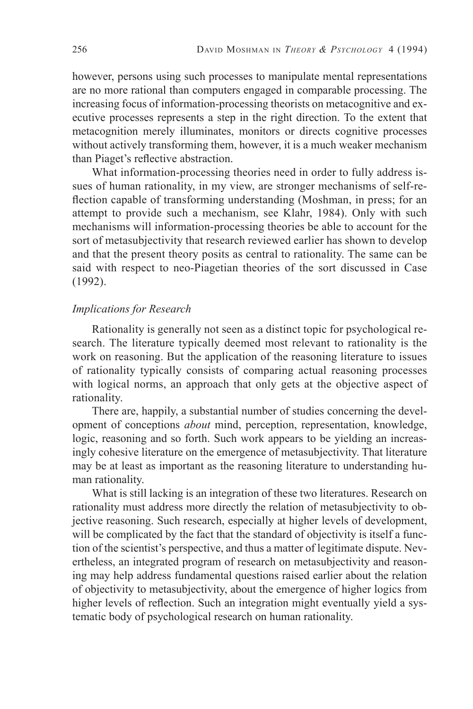however, persons using such processes to manipulate mental representations are no more rational than computers engaged in comparable processing. The increasing focus of information-processing theorists on metacognitive and executive processes represents a step in the right direction. To the extent that metacognition merely illuminates, monitors or directs cognitive processes without actively transforming them, however, it is a much weaker mechanism than Piaget's reflective abstraction.

What information-processing theories need in order to fully address issues of human rationality, in my view, are stronger mechanisms of self-reflection capable of transforming understanding (Moshman, in press; for an attempt to provide such a mechanism, see Klahr, 1984). Only with such mechanisms will information-processing theories be able to account for the sort of metasubjectivity that research reviewed earlier has shown to develop and that the present theory posits as central to rationality. The same can be said with respect to neo-Piagetian theories of the sort discussed in Case (1992).

## *Implications for Research*

Rationality is generally not seen as a distinct topic for psychological research. The literature typically deemed most relevant to rationality is the work on reasoning. But the application of the reasoning literature to issues of rationality typically consists of comparing actual reasoning processes with logical norms, an approach that only gets at the objective aspect of rationality.

There are, happily, a substantial number of studies concerning the development of conceptions *about* mind, perception, representation, knowledge, logic, reasoning and so forth. Such work appears to be yielding an increasingly cohesive literature on the emergence of metasubjectivity. That literature may be at least as important as the reasoning literature to understanding human rationality.

What is still lacking is an integration of these two literatures. Research on rationality must address more directly the relation of metasubjectivity to objective reasoning. Such research, especially at higher levels of development, will be complicated by the fact that the standard of objectivity is itself a function of the scientist's perspective, and thus a matter of legitimate dispute. Nevertheless, an integrated program of research on metasubjectivity and reasoning may help address fundamental questions raised earlier about the relation of objectivity to metasubjectivity, about the emergence of higher logics from higher levels of reflection. Such an integration might eventually yield a systematic body of psychological research on human rationality.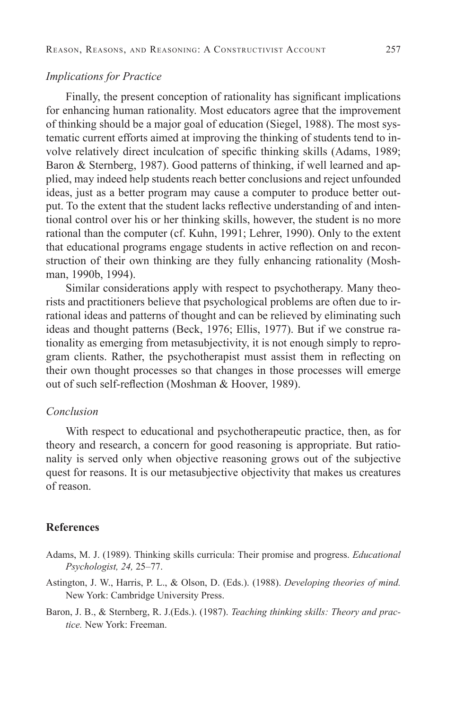#### *Implications for Practice*

Finally, the present conception of rationality has significant implications for enhancing human rationality. Most educators agree that the improvement of thinking should be a major goal of education (Siegel, 1988). The most systematic current efforts aimed at improving the thinking of students tend to involve relatively direct inculcation of specific thinking skills (Adams, 1989; Baron & Sternberg, 1987). Good patterns of thinking, if well learned and applied, may indeed help students reach better conclusions and reject unfounded ideas, just as a better program may cause a computer to produce better output. To the extent that the student lacks reflective understanding of and intentional control over his or her thinking skills, however, the student is no more rational than the computer (cf. Kuhn, 1991; Lehrer, 1990). Only to the extent that educational programs engage students in active reflection on and reconstruction of their own thinking are they fully enhancing rationality (Moshman, 1990b, 1994).

Similar considerations apply with respect to psychotherapy. Many theorists and practitioners believe that psychological problems are often due to irrational ideas and patterns of thought and can be relieved by eliminating such ideas and thought patterns (Beck, 1976; Ellis, 1977). But if we construe rationality as emerging from metasubjectivity, it is not enough simply to reprogram clients. Rather, the psychotherapist must assist them in reflecting on their own thought processes so that changes in those processes will emerge out of such self-reflection (Moshman & Hoover, 1989).

#### *Conclusion*

With respect to educational and psychotherapeutic practice, then, as for theory and research, a concern for good reasoning is appropriate. But rationality is served only when objective reasoning grows out of the subjective quest for reasons. It is our metasubjective objectivity that makes us creatures of reason.

#### **References**

- Adams, M. J. (1989). Thinking skills curricula: Their promise and progress. *Educational Psychologist, 24,* 25–77.
- Astington, J. W., Harris, P. L., & Olson, D. (Eds.). (1988). *Developing theories of mind.*  New York: Cambridge University Press.
- Baron, J. B., & Sternberg, R. J.(Eds.). (1987). *Teaching thinking skills: Theory and practice.* New York: Freeman.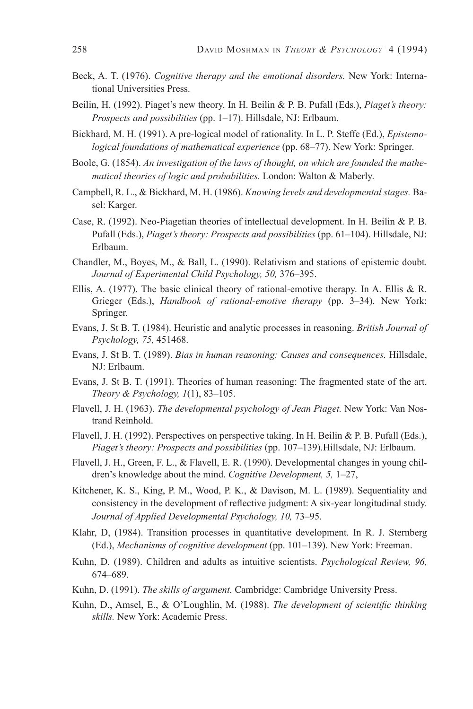- Beck, A. T. (1976). *Cognitive therapy and the emotional disorders.* New York: International Universities Press.
- Beilin, H. (1992). Piaget's new theory. In H. Beilin & P. B. Pufall (Eds.), *Piaget's theory: Prospects and possibilities* (pp. 1–17). Hillsdale, NJ: Erlbaum.
- Bickhard, M. H. (1991). A pre-logical model of rationality. In L. P. Steffe (Ed.), *Epistemological foundations of mathematical experience* (pp. 68–77). New York: Springer.
- Boole, G. (1854). *An investigation of the laws of thought, on which are founded the mathematical theories of logic and probabilities.* London: Walton & Maberly.
- Campbell, R. L., & Bickhard, M. H. (1986). *Knowing levels and developmental stages.* Basel: Karger.
- Case, R. (1992). Neo-Piagetian theories of intellectual development. In H. Beilin & P. B. Pufall (Eds.), *Piaget's theory: Prospects and possibilities* (pp. 61–104). Hillsdale, NJ: Erlbaum.
- Chandler, M., Boyes, M., & Ball, L. (1990). Relativism and stations of epistemic doubt. *Journal of Experimental Child Psychology, 50,* 376–395.
- Ellis, A. (1977). The basic clinical theory of rational-emotive therapy. In A. Ellis & R. Grieger (Eds.), *Handbook of rational-emotive therapy* (pp. 3–34). New York: Springer.
- Evans, J. St B. T. (1984). Heuristic and analytic processes in reasoning. *British Journal of Psychology, 75,* 451468.
- Evans, J. St B. T. (1989). *Bias in human reasoning: Causes and consequences.* Hillsdale, NJ: Erlbaum.
- Evans, J. St B. T. (1991). Theories of human reasoning: The fragmented state of the art. *Theory & Psychology, 1*(1), 83–105.
- Flavell, J. H. (1963). *The developmental psychology of Jean Piaget.* New York: Van Nostrand Reinhold.
- Flavell, J. H. (1992). Perspectives on perspective taking. In H. Beilin & P. B. Pufall (Eds.), *Piaget's theory: Prospects and possibilities* (pp. 107–139).Hillsdale, NJ: Erlbaum.
- Flavell, J. H., Green, F. L., & Flavell, E. R. (1990). Developmental changes in young children's knowledge about the mind. *Cognitive Development, 5,* 1–27,
- Kitchener, K. S., King, P. M., Wood, P. K., & Davison, M. L. (1989). Sequentiality and consistency in the development of reflective judgment: A six-year longitudinal study. *Journal of Applied Developmental Psychology, 10,* 73–95.
- Klahr, D, (1984). Transition processes in quantitative development. In R. J. Sternberg (Ed.), *Mechanisms of cognitive development* (pp. 101–139). New York: Freeman.
- Kuhn, D. (1989). Children and adults as intuitive scientists. *Psychological Review, 96,* 674–689.
- Kuhn, D. (1991). *The skills of argument.* Cambridge: Cambridge University Press.
- Kuhn, D., Amsel, E., & O'Loughlin, M. (1988). *The development of scientific thinking skills.* New York: Academic Press.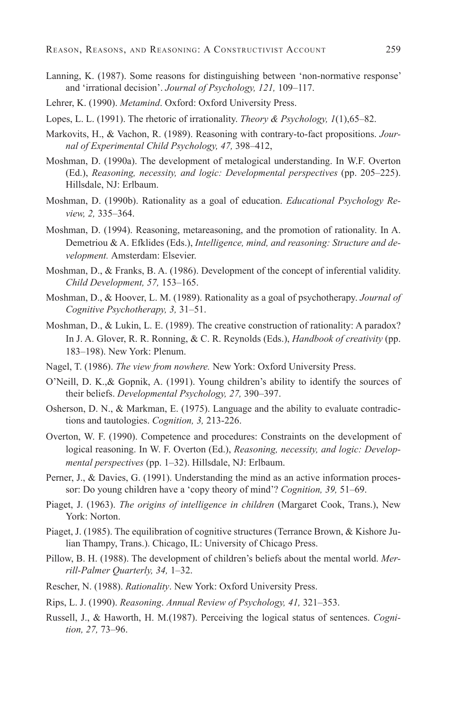- Lanning, K. (1987). Some reasons for distinguishing between 'non-normative response' and 'irrational decision'. *Journal of Psychology, 121,* 109–117.
- Lehrer, K. (1990). *Metamind*. Oxford: Oxford University Press.
- Lopes, L. L. (1991). The rhetoric of irrationality. *Theory & Psychology, 1*(1),65–82.
- Markovits, H., & Vachon, R. (1989). Reasoning with contrary-to-fact propositions. *Journal of Experimental Child Psychology, 47,* 398–412,
- Moshman, D. (1990a). The development of metalogical understanding. In W.F. Overton (Ed.), *Reasoning, necessity, and logic: Developmental perspectives* (pp. 205–225). Hillsdale, NJ: Erlbaum.
- Moshman, D. (1990b). Rationality as a goal of education. *Educational Psychology Review, 2,* 335–364.
- Moshman, D. (1994). Reasoning, metareasoning, and the promotion of rationality. In A. Demetriou & A. Efklides (Eds.), *Intelligence, mind, and reasoning: Structure and development.* Amsterdam: Elsevier.
- Moshman, D., & Franks, B. A. (1986). Development of the concept of inferential validity. *Child Development, 57,* 153–165.
- Moshman, D., & Hoover, L. M. (1989). Rationality as a goal of psychotherapy. *Journal of Cognitive Psychotherapy, 3,* 31–51.
- Moshman, D., & Lukin, L. E. (1989). The creative construction of rationality: A paradox? In J. A. Glover, R. R. Ronning, & C. R. Reynolds (Eds.), *Handbook of creativity* (pp. 183–198). New York: Plenum.
- Nagel, T. (1986). *The view from nowhere.* New York: Oxford University Press.
- O'Neill, D. K.,& Gopnik, A. (1991). Young children's ability to identify the sources of their beliefs. *Developmental Psychology, 27,* 390–397.
- Osherson, D. N., & Markman, E. (1975). Language and the ability to evaluate contradictions and tautologies. *Cognition, 3,* 213-226.
- Overton, W. F. (1990). Competence and procedures: Constraints on the development of logical reasoning. In W. F. Overton (Ed.), *Reasoning, necessity, and logic: Developmental perspectives* (pp. 1–32). Hillsdale, NJ: Erlbaum.
- Perner, J., & Davies, G. (1991). Understanding the mind as an active information processor: Do young children have a 'copy theory of mind'? *Cognition, 39,* 51–69.
- Piaget, J. (1963). *The origins of intelligence in children* (Margaret Cook, Trans.), New York: Norton.
- Piaget, J. (1985). The equilibration of cognitive structures (Terrance Brown, & Kishore Julian Thampy, Trans.). Chicago, IL: University of Chicago Press.
- Pillow, B. H. (1988). The development of children's beliefs about the mental world. *Merrill-Palmer Quarterly, 34,* 1–32.
- Rescher, N. (1988). *Rationality*. New York: Oxford University Press.
- Rips, L. J. (1990). *Reasoning*. *Annual Review of Psychology, 41,* 321–353.
- Russell, J., & Haworth, H. M.(1987). Perceiving the logical status of sentences. *Cognition, 27,* 73–96.